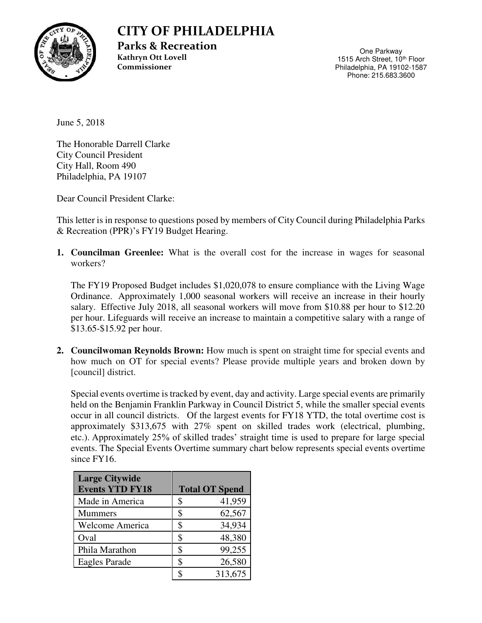

## **CITY OF PHILADELPHIA**

**Parks & Recreation Kathryn Ott Lovell Commissioner** 

One Parkway 1515 Arch Street, 10<sup>th</sup> Floor Philadelphia, PA 19102-1587 Phone: 215.683.3600

June 5, 2018

The Honorable Darrell Clarke City Council President City Hall, Room 490 Philadelphia, PA 19107

Dear Council President Clarke:

This letter is in response to questions posed by members of City Council during Philadelphia Parks & Recreation (PPR)'s FY19 Budget Hearing.

**1. Councilman Greenlee:** What is the overall cost for the increase in wages for seasonal workers?

The FY19 Proposed Budget includes \$1,020,078 to ensure compliance with the Living Wage Ordinance. Approximately 1,000 seasonal workers will receive an increase in their hourly salary. Effective July 2018, all seasonal workers will move from \$10.88 per hour to \$12.20 per hour. Lifeguards will receive an increase to maintain a competitive salary with a range of \$13.65-\$15.92 per hour.

**2. Councilwoman Reynolds Brown:** How much is spent on straight time for special events and how much on OT for special events? Please provide multiple years and broken down by [council] district.

Special events overtime is tracked by event, day and activity. Large special events are primarily held on the Benjamin Franklin Parkway in Council District 5, while the smaller special events occur in all council districts. Of the largest events for FY18 YTD, the total overtime cost is approximately \$313,675 with 27% spent on skilled trades work (electrical, plumbing, etc.). Approximately 25% of skilled trades' straight time is used to prepare for large special events. The Special Events Overtime summary chart below represents special events overtime since FY16.

| <b>Large Citywide</b><br><b>Events YTD FY18</b> |   | <b>Total OT Spend</b> |
|-------------------------------------------------|---|-----------------------|
| Made in America                                 | S | 41,959                |
| <b>Mummers</b>                                  | S | 62,567                |
| <b>Welcome America</b>                          | S | 34,934                |
| Oval                                            | S | 48,380                |
| Phila Marathon                                  | S | 99,255                |
| Eagles Parade                                   | S | 26,580                |
|                                                 |   | 313,675               |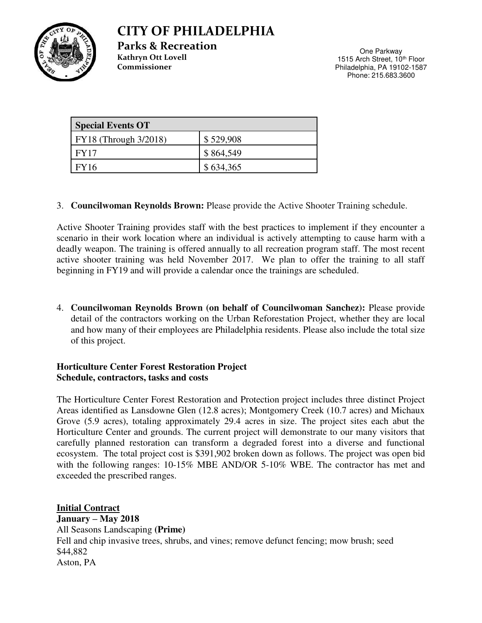### **CITY OF PHILADELPHIA**

**Parks & Recreation Kathryn Ott Lovell Commissioner** 

One Parkway 1515 Arch Street, 10<sup>th</sup> Floor Philadelphia, PA 19102-1587 Phone: 215.683.3600

| <b>Special Events OT</b> |           |  |
|--------------------------|-----------|--|
| FY18 (Through 3/2018)    | \$529,908 |  |
| <b>FY17</b>              | \$864,549 |  |
| <b>FY16</b>              | \$634,365 |  |

#### 3. **Councilwoman Reynolds Brown:** Please provide the Active Shooter Training schedule.

Active Shooter Training provides staff with the best practices to implement if they encounter a scenario in their work location where an individual is actively attempting to cause harm with a deadly weapon. The training is offered annually to all recreation program staff. The most recent active shooter training was held November 2017. We plan to offer the training to all staff beginning in FY19 and will provide a calendar once the trainings are scheduled.

4. **Councilwoman Reynolds Brown (on behalf of Councilwoman Sanchez):** Please provide detail of the contractors working on the Urban Reforestation Project, whether they are local and how many of their employees are Philadelphia residents. Please also include the total size of this project.

#### **Horticulture Center Forest Restoration Project Schedule, contractors, tasks and costs**

The Horticulture Center Forest Restoration and Protection project includes three distinct Project Areas identified as Lansdowne Glen (12.8 acres); Montgomery Creek (10.7 acres) and Michaux Grove (5.9 acres), totaling approximately 29.4 acres in size. The project sites each abut the Horticulture Center and grounds. The current project will demonstrate to our many visitors that carefully planned restoration can transform a degraded forest into a diverse and functional ecosystem. The total project cost is \$391,902 broken down as follows. The project was open bid with the following ranges: 10-15% MBE AND/OR 5-10% WBE. The contractor has met and exceeded the prescribed ranges.

**Initial Contract January – May 2018**  All Seasons Landscaping **(Prime)**  Fell and chip invasive trees, shrubs, and vines; remove defunct fencing; mow brush; seed \$44,882 Aston, PA